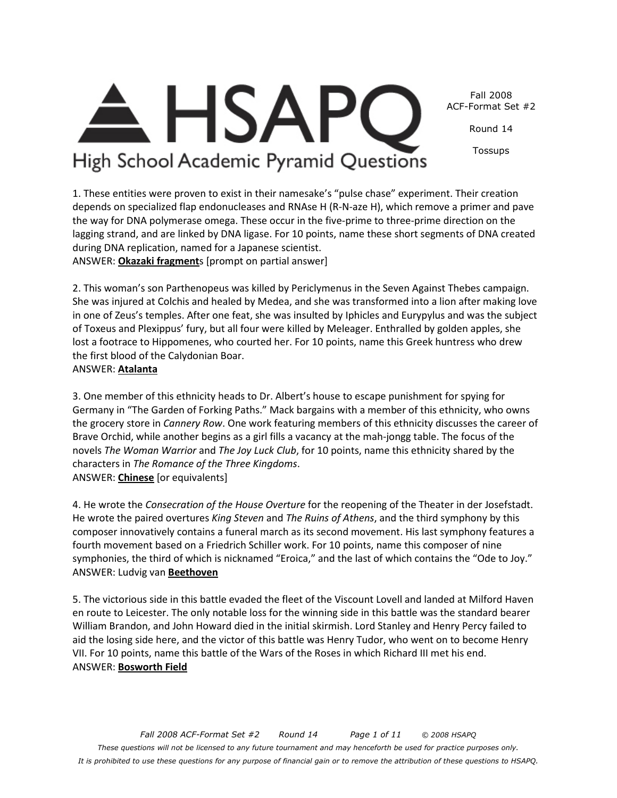Fall 2008 ACF-Format Set #2

Round 14

Tossups

High School Academic Pyramid Questions

1. These entities were proven to exist in their namesake's "pulse chase" experiment. Their creation depends on specialized flap endonucleases and RNAse H (R-N-aze H), which remove a primer and pave the way for DNA polymerase omega. These occur in the five-prime to three-prime direction on the lagging strand, and are linked by DNA ligase. For 10 points, name these short segments of DNA created during DNA replication, named for a Japanese scientist. ANSWER: **Okazaki fragment**s [prompt on partial answer]

2. This woman's son Parthenopeus was killed by Periclymenus in the Seven Against Thebes campaign. She was injured at Colchis and healed by Medea, and she was transformed into a lion after making love in one of Zeus's temples. After one feat, she was insulted by Iphicles and Eurypylus and was the subject of Toxeus and Plexippus' fury, but all four were killed by Meleager. Enthralled by golden apples, she lost a footrace to Hippomenes, who courted her. For 10 points, name this Greek huntress who drew

the first blood of the Calydonian Boar.

### ANSWER: **Atalanta**

3. One member of this ethnicity heads to Dr. Albert's house to escape punishment for spying for Germany in "The Garden of Forking Paths." Mack bargains with a member of this ethnicity, who owns the grocery store in *Cannery Row*. One work featuring members of this ethnicity discusses the career of Brave Orchid, while another begins as a girl fills a vacancy at the mah-jongg table. The focus of the novels *The Woman Warrior* and *The Joy Luck Club*, for 10 points, name this ethnicity shared by the characters in *The Romance of the Three Kingdoms*. ANSWER: **Chinese** [or equivalents]

4. He wrote the *Consecration of the House Overture* for the reopening of the Theater in der Josefstadt. He wrote the paired overtures *King Steven* and *The Ruins of Athens*, and the third symphony by this composer innovatively contains a funeral march as its second movement. His last symphony features a fourth movement based on a Friedrich Schiller work. For 10 points, name this composer of nine symphonies, the third of which is nicknamed "Eroica," and the last of which contains the "Ode to Joy." ANSWER: Ludvig van **Beethoven**

5. The victorious side in this battle evaded the fleet of the Viscount Lovell and landed at Milford Haven en route to Leicester. The only notable loss for the winning side in this battle was the standard bearer William Brandon, and John Howard died in the initial skirmish. Lord Stanley and Henry Percy failed to aid the losing side here, and the victor of this battle was Henry Tudor, who went on to become Henry VII. For 10 points, name this battle of the Wars of the Roses in which Richard III met his end. ANSWER: **Bosworth Field**

**HSAP**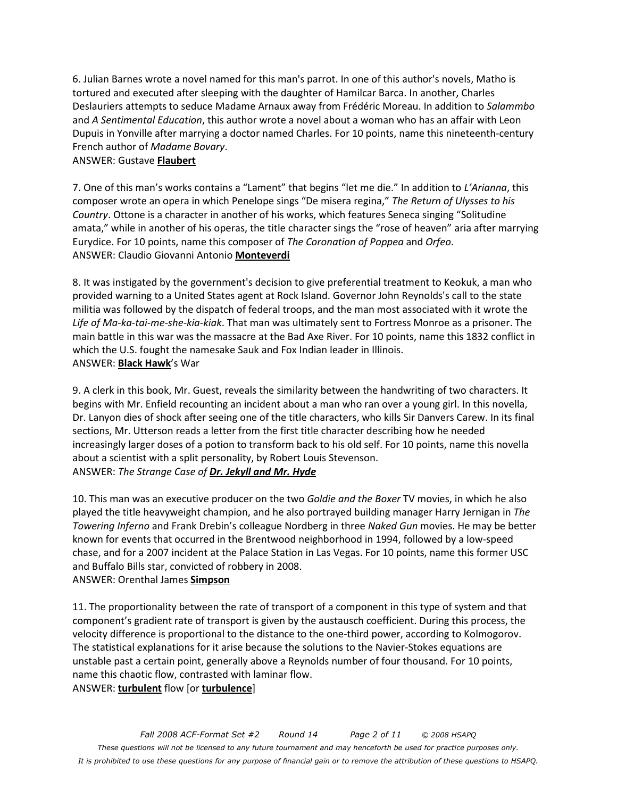6. Julian Barnes wrote a novel named for this man's parrot. In one of this author's novels, Matho is tortured and executed after sleeping with the daughter of Hamilcar Barca. In another, Charles Deslauriers attempts to seduce Madame Arnaux away from Frédéric Moreau. In addition to *Salammbo* and *A Sentimental Education*, this author wrote a novel about a woman who has an affair with Leon Dupuis in Yonville after marrying a doctor named Charles. For 10 points, name this nineteenth-century French author of *Madame Bovary*.

### ANSWER: Gustave **Flaubert**

7. One of this man's works contains a "Lament" that begins "let me die." In addition to *L'Arianna*, this composer wrote an opera in which Penelope sings "De misera regina," *The Return of Ulysses to his Country*. Ottone is a character in another of his works, which features Seneca singing "Solitudine amata," while in another of his operas, the title character sings the "rose of heaven" aria after marrying Eurydice. For 10 points, name this composer of *The Coronation of Poppea* and *Orfeo*. ANSWER: Claudio Giovanni Antonio **Monteverdi**

8. It was instigated by the government's decision to give preferential treatment to Keokuk, a man who provided warning to a United States agent at Rock Island. Governor John Reynolds's call to the state militia was followed by the dispatch of federal troops, and the man most associated with it wrote the *Life of Ma-ka-tai-me-she-kia-kiak*. That man was ultimately sent to Fortress Monroe as a prisoner. The main battle in this war was the massacre at the Bad Axe River. For 10 points, name this 1832 conflict in which the U.S. fought the namesake Sauk and Fox Indian leader in Illinois. ANSWER: **Black Hawk**'s War

9. A clerk in this book, Mr. Guest, reveals the similarity between the handwriting of two characters. It begins with Mr. Enfield recounting an incident about a man who ran over a young girl. In this novella, Dr. Lanyon dies of shock after seeing one of the title characters, who kills Sir Danvers Carew. In its final sections, Mr. Utterson reads a letter from the first title character describing how he needed increasingly larger doses of a potion to transform back to his old self. For 10 points, name this novella about a scientist with a split personality, by Robert Louis Stevenson. ANSWER: *The Strange Case of Dr. Jekyll and Mr. Hyde*

10. This man was an executive producer on the two *Goldie and the Boxer* TV movies, in which he also played the title heavyweight champion, and he also portrayed building manager Harry Jernigan in *The Towering Inferno* and Frank Drebin's colleague Nordberg in three *Naked Gun* movies. He may be better known for events that occurred in the Brentwood neighborhood in 1994, followed by a low-speed chase, and for a 2007 incident at the Palace Station in Las Vegas. For 10 points, name this former USC and Buffalo Bills star, convicted of robbery in 2008.

ANSWER: Orenthal James **Simpson**

11. The proportionality between the rate of transport of a component in this type of system and that component's gradient rate of transport is given by the austausch coefficient. During this process, the velocity difference is proportional to the distance to the one-third power, according to Kolmogorov. The statistical explanations for it arise because the solutions to the Navier-Stokes equations are unstable past a certain point, generally above a Reynolds number of four thousand. For 10 points, name this chaotic flow, contrasted with laminar flow. ANSWER: **turbulent** flow [or **turbulence**]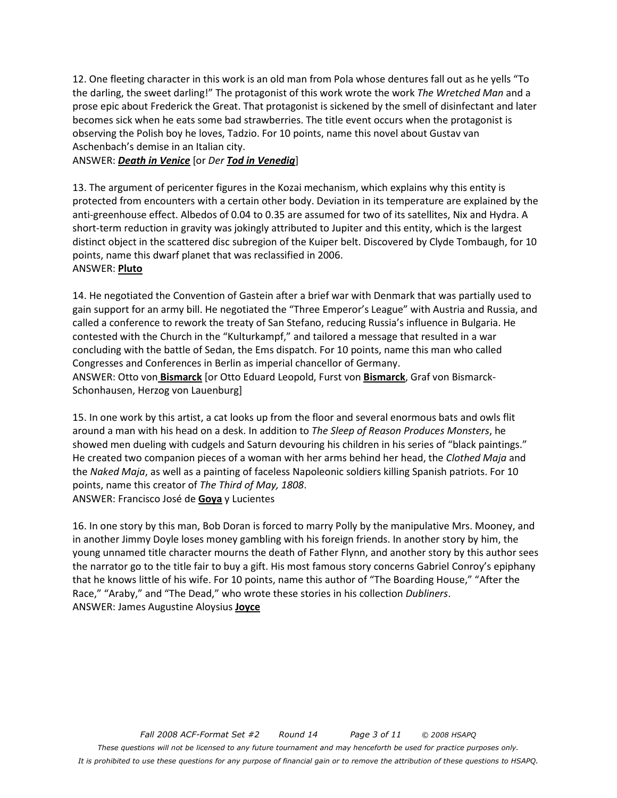12. One fleeting character in this work is an old man from Pola whose dentures fall out as he yells "To the darling, the sweet darling!" The protagonist of this work wrote the work *The Wretched Man* and a prose epic about Frederick the Great. That protagonist is sickened by the smell of disinfectant and later becomes sick when he eats some bad strawberries. The title event occurs when the protagonist is observing the Polish boy he loves, Tadzio. For 10 points, name this novel about Gustav van Aschenbach's demise in an Italian city.

ANSWER: *Death in Venice* [or *Der Tod in Venedig*]

13. The argument of pericenter figures in the Kozai mechanism, which explains why this entity is protected from encounters with a certain other body. Deviation in its temperature are explained by the anti-greenhouse effect. Albedos of 0.04 to 0.35 are assumed for two of its satellites, Nix and Hydra. A short-term reduction in gravity was jokingly attributed to Jupiter and this entity, which is the largest distinct object in the scattered disc subregion of the Kuiper belt. Discovered by Clyde Tombaugh, for 10 points, name this dwarf planet that was reclassified in 2006. ANSWER: **Pluto**

14. He negotiated the Convention of Gastein after a brief war with Denmark that was partially used to gain support for an army bill. He negotiated the "Three Emperor's League" with Austria and Russia, and called a conference to rework the treaty of San Stefano, reducing Russia's influence in Bulgaria. He contested with the Church in the "Kulturkampf," and tailored a message that resulted in a war concluding with the battle of Sedan, the Ems dispatch. For 10 points, name this man who called Congresses and Conferences in Berlin as imperial chancellor of Germany. ANSWER: Otto von **Bismarck** [or Otto Eduard Leopold, Furst von **Bismarck**, Graf von Bismarck-Schonhausen, Herzog von Lauenburg]

15. In one work by this artist, a cat looks up from the floor and several enormous bats and owls flit around a man with his head on a desk. In addition to *The Sleep of Reason Produces Monsters*, he showed men dueling with cudgels and Saturn devouring his children in his series of "black paintings." He created two companion pieces of a woman with her arms behind her head, the *Clothed Maja* and the *Naked Maja*, as well as a painting of faceless Napoleonic soldiers killing Spanish patriots. For 10 points, name this creator of *The Third of May, 1808*. ANSWER: Francisco José de **Goya** y Lucientes

16. In one story by this man, Bob Doran is forced to marry Polly by the manipulative Mrs. Mooney, and in another Jimmy Doyle loses money gambling with his foreign friends. In another story by him, the young unnamed title character mourns the death of Father Flynn, and another story by this author sees the narrator go to the title fair to buy a gift. His most famous story concerns Gabriel Conroy's epiphany that he knows little of his wife. For 10 points, name this author of "The Boarding House," "After the Race," "Araby," and "The Dead," who wrote these stories in his collection *Dubliners*. ANSWER: James Augustine Aloysius **Joyce**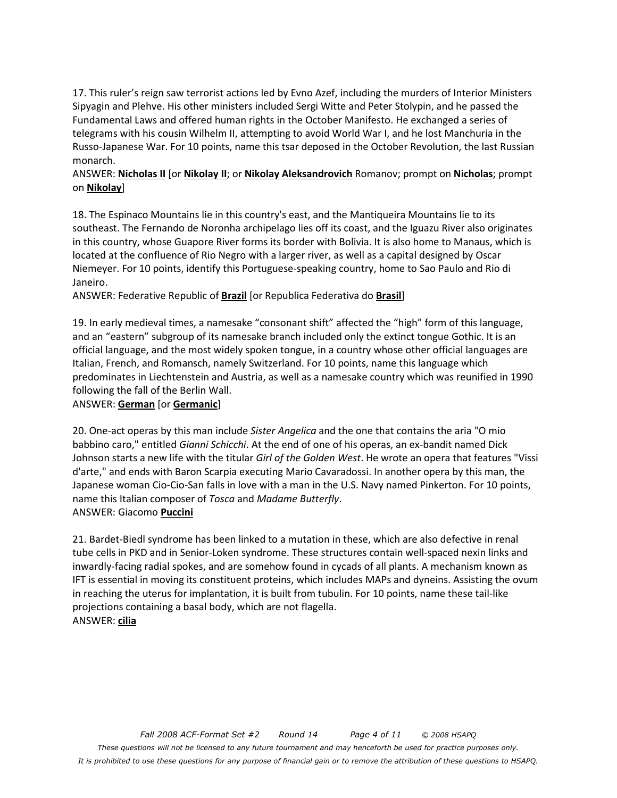17. This ruler's reign saw terrorist actions led by Evno Azef, including the murders of Interior Ministers Sipyagin and Plehve. His other ministers included Sergi Witte and Peter Stolypin, and he passed the Fundamental Laws and offered human rights in the October Manifesto. He exchanged a series of telegrams with his cousin Wilhelm II, attempting to avoid World War I, and he lost Manchuria in the Russo-Japanese War. For 10 points, name this tsar deposed in the October Revolution, the last Russian monarch.

### ANSWER: **Nicholas II** [or **Nikolay II**; or **Nikolay Aleksandrovich** Romanov; prompt on **Nicholas**; prompt on **Nikolay**]

18. The Espinaco Mountains lie in this country's east, and the Mantiqueira Mountains lie to its southeast. The Fernando de Noronha archipelago lies off its coast, and the Iguazu River also originates in this country, whose Guapore River forms its border with Bolivia. It is also home to Manaus, which is located at the confluence of Rio Negro with a larger river, as well as a capital designed by Oscar Niemeyer. For 10 points, identify this Portuguese-speaking country, home to Sao Paulo and Rio di Janeiro.

ANSWER: Federative Republic of **Brazil** [or Republica Federativa do **Brasil**]

19. In early medieval times, a namesake "consonant shift" affected the "high" form of this language, and an "eastern" subgroup of its namesake branch included only the extinct tongue Gothic. It is an official language, and the most widely spoken tongue, in a country whose other official languages are Italian, French, and Romansch, namely Switzerland. For 10 points, name this language which predominates in Liechtenstein and Austria, as well as a namesake country which was reunified in 1990 following the fall of the Berlin Wall.

### ANSWER: **German** [or **Germanic**]

20. One-act operas by this man include *Sister Angelica* and the one that contains the aria "O mio babbino caro," entitled *Gianni Schicchi*. At the end of one of his operas, an ex-bandit named Dick Johnson starts a new life with the titular *Girl of the Golden West*. He wrote an opera that features "Vissi d'arte," and ends with Baron Scarpia executing Mario Cavaradossi. In another opera by this man, the Japanese woman Cio-Cio-San falls in love with a man in the U.S. Navy named Pinkerton. For 10 points, name this Italian composer of *Tosca* and *Madame Butterfly*. ANSWER: Giacomo **Puccini**

21. Bardet-Biedl syndrome has been linked to a mutation in these, which are also defective in renal tube cells in PKD and in Senior-Loken syndrome. These structures contain well-spaced nexin links and inwardly-facing radial spokes, and are somehow found in cycads of all plants. A mechanism known as IFT is essential in moving its constituent proteins, which includes MAPs and dyneins. Assisting the ovum in reaching the uterus for implantation, it is built from tubulin. For 10 points, name these tail-like projections containing a basal body, which are not flagella. ANSWER: **cilia**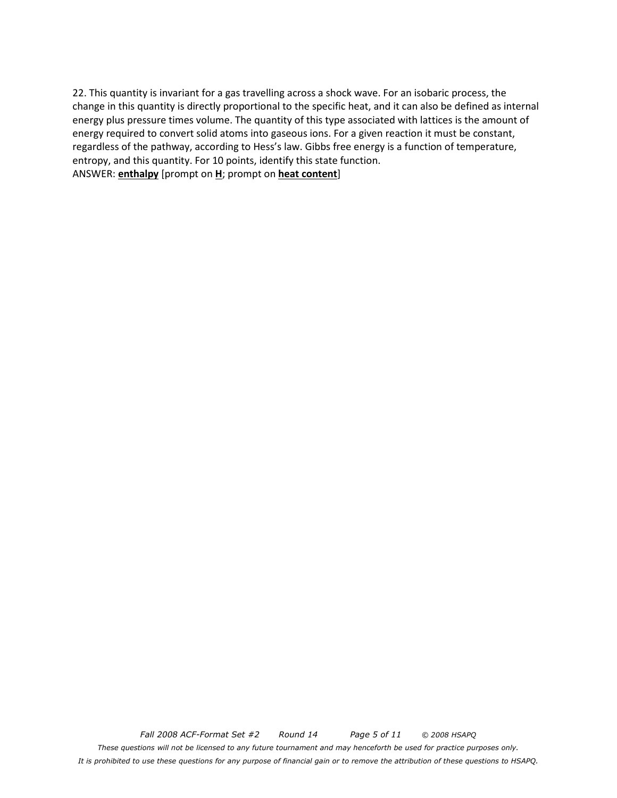22. This quantity is invariant for a gas travelling across a shock wave. For an isobaric process, the change in this quantity is directly proportional to the specific heat, and it can also be defined as internal energy plus pressure times volume. The quantity of this type associated with lattices is the amount of energy required to convert solid atoms into gaseous ions. For a given reaction it must be constant, regardless of the pathway, according to Hess's law. Gibbs free energy is a function of temperature, entropy, and this quantity. For 10 points, identify this state function. ANSWER: **enthalpy** [prompt on **H**; prompt on **heat content**]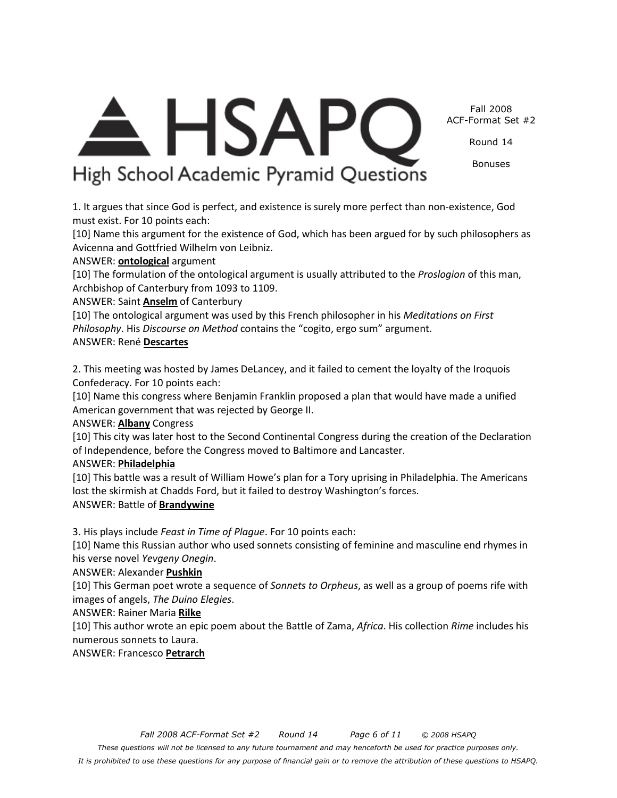Fall 2008 ACF-Format Set #2

Round 14

Bonuses

# A. HSAPC High School Academic Pyramid Questions

1. It argues that since God is perfect, and existence is surely more perfect than non-existence, God must exist. For 10 points each:

[10] Name this argument for the existence of God, which has been argued for by such philosophers as Avicenna and Gottfried Wilhelm von Leibniz.

# ANSWER: **ontological** argument

[10] The formulation of the ontological argument is usually attributed to the *Proslogion* of this man, Archbishop of Canterbury from 1093 to 1109.

ANSWER: Saint **Anselm** of Canterbury

[10] The ontological argument was used by this French philosopher in his *Meditations on First Philosophy*. His *Discourse on Method* contains the "cogito, ergo sum" argument.

# ANSWER: René **Descartes**

2. This meeting was hosted by James DeLancey, and it failed to cement the loyalty of the Iroquois Confederacy. For 10 points each:

[10] Name this congress where Benjamin Franklin proposed a plan that would have made a unified American government that was rejected by George II.

# ANSWER: **Albany** Congress

[10] This city was later host to the Second Continental Congress during the creation of the Declaration of Independence, before the Congress moved to Baltimore and Lancaster.

# ANSWER: **Philadelphia**

[10] This battle was a result of William Howe's plan for a Tory uprising in Philadelphia. The Americans lost the skirmish at Chadds Ford, but it failed to destroy Washington's forces. ANSWER: Battle of **Brandywine**

3. His plays include *Feast in Time of Plague*. For 10 points each:

[10] Name this Russian author who used sonnets consisting of feminine and masculine end rhymes in his verse novel *Yevgeny Onegin*.

# ANSWER: Alexander **Pushkin**

[10] This German poet wrote a sequence of *Sonnets to Orpheus*, as well as a group of poems rife with images of angels, *The Duino Elegies*.

# ANSWER: Rainer Maria **Rilke**

[10] This author wrote an epic poem about the Battle of Zama, *Africa*. His collection *Rime* includes his numerous sonnets to Laura.

ANSWER: Francesco **Petrarch**

*These questions will not be licensed to any future tournament and may henceforth be used for practice purposes only. It is prohibited to use these questions for any purpose of financial gain or to remove the attribution of these questions to HSAPQ.*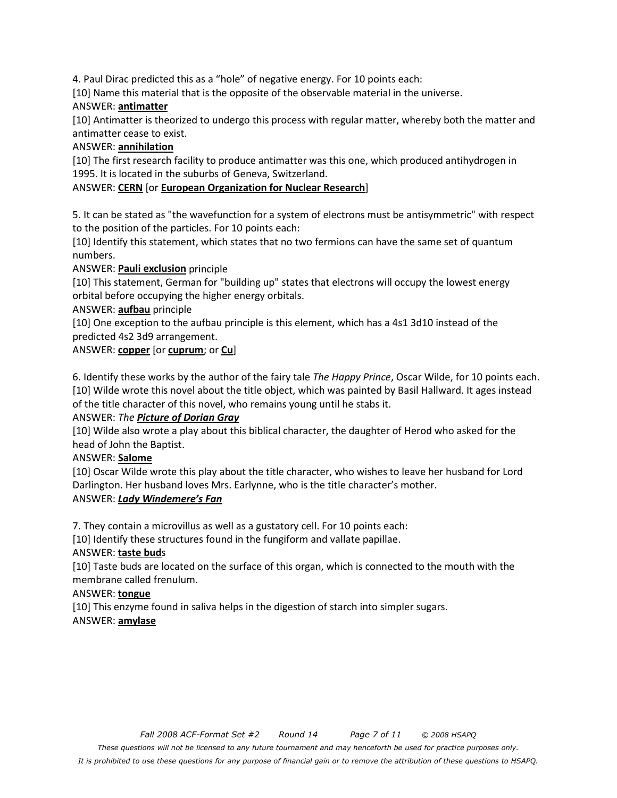4. Paul Dirac predicted this as a "hole" of negative energy. For 10 points each:

[10] Name this material that is the opposite of the observable material in the universe.

### ANSWER: **antimatter**

[10] Antimatter is theorized to undergo this process with regular matter, whereby both the matter and antimatter cease to exist.

### ANSWER: **annihilation**

[10] The first research facility to produce antimatter was this one, which produced antihydrogen in 1995. It is located in the suburbs of Geneva, Switzerland.

# ANSWER: **CERN** [or **European Organization for Nuclear Research**]

5. It can be stated as "the wavefunction for a system of electrons must be antisymmetric" with respect to the position of the particles. For 10 points each:

[10] Identify this statement, which states that no two fermions can have the same set of quantum numbers.

ANSWER: **Pauli exclusion** principle

[10] This statement, German for "building up" states that electrons will occupy the lowest energy orbital before occupying the higher energy orbitals.

ANSWER: **aufbau** principle

[10] One exception to the aufbau principle is this element, which has a 4s1 3d10 instead of the predicted 4s2 3d9 arrangement.

# ANSWER: **copper** [or **cuprum**; or **Cu**]

6. Identify these works by the author of the fairy tale *The Happy Prince*, Oscar Wilde, for 10 points each. [10] Wilde wrote this novel about the title object, which was painted by Basil Hallward. It ages instead of the title character of this novel, who remains young until he stabs it.

### ANSWER: *The Picture of Dorian Gray*

[10] Wilde also wrote a play about this biblical character, the daughter of Herod who asked for the head of John the Baptist.

### ANSWER: **Salome**

[10] Oscar Wilde wrote this play about the title character, who wishes to leave her husband for Lord Darlington. Her husband loves Mrs. Earlynne, who is the title character's mother. ANSWER: *Lady Windemere's Fan*

7. They contain a microvillus as well as a gustatory cell. For 10 points each:

[10] Identify these structures found in the fungiform and vallate papillae.

### ANSWER: **taste bud**s

[10] Taste buds are located on the surface of this organ, which is connected to the mouth with the membrane called frenulum.

### ANSWER: **tongue**

[10] This enzyme found in saliva helps in the digestion of starch into simpler sugars.

# ANSWER: **amylase**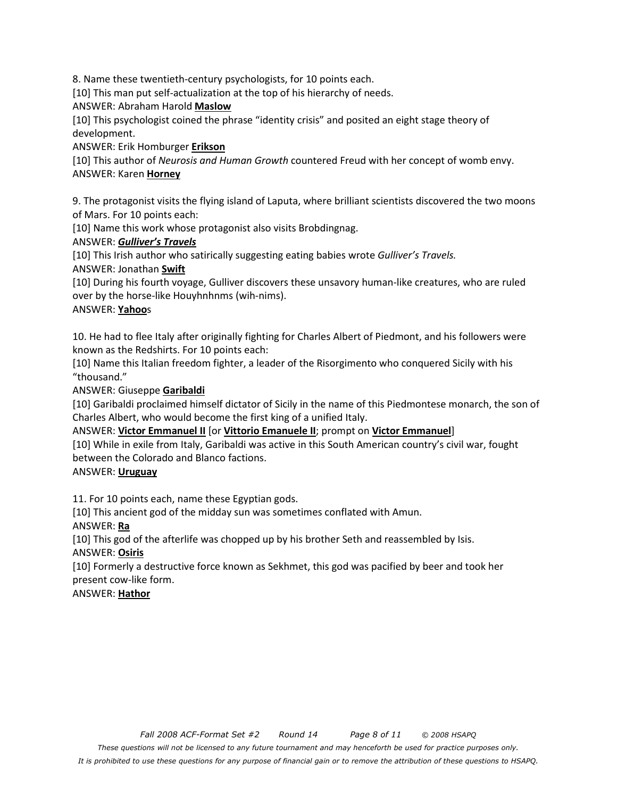8. Name these twentieth-century psychologists, for 10 points each.

[10] This man put self-actualization at the top of his hierarchy of needs.

ANSWER: Abraham Harold **Maslow**

[10] This psychologist coined the phrase "identity crisis" and posited an eight stage theory of development.

ANSWER: Erik Homburger **Erikson**

[10] This author of *Neurosis and Human Growth* countered Freud with her concept of womb envy. ANSWER: Karen **Horney**

9. The protagonist visits the flying island of Laputa, where brilliant scientists discovered the two moons of Mars. For 10 points each:

[10] Name this work whose protagonist also visits Brobdingnag.

### ANSWER: *Gulliver's Travels*

[10] This Irish author who satirically suggesting eating babies wrote *Gulliver's Travels.*  ANSWER: Jonathan **Swift**

[10] During his fourth voyage, Gulliver discovers these unsavory human-like creatures, who are ruled over by the horse-like Houyhnhnms (wih-nims).

### ANSWER: **Yahoo**s

10. He had to flee Italy after originally fighting for Charles Albert of Piedmont, and his followers were known as the Redshirts. For 10 points each:

[10] Name this Italian freedom fighter, a leader of the Risorgimento who conquered Sicily with his "thousand."

ANSWER: Giuseppe **Garibaldi**

[10] Garibaldi proclaimed himself dictator of Sicily in the name of this Piedmontese monarch, the son of Charles Albert, who would become the first king of a unified Italy.

ANSWER: **Victor Emmanuel II** [or **Vittorio Emanuele II**; prompt on **Victor Emmanuel**]

[10] While in exile from Italy, Garibaldi was active in this South American country's civil war, fought between the Colorado and Blanco factions.

### ANSWER: **Uruguay**

11. For 10 points each, name these Egyptian gods.

[10] This ancient god of the midday sun was sometimes conflated with Amun.

ANSWER: **Ra**

[10] This god of the afterlife was chopped up by his brother Seth and reassembled by Isis. ANSWER: **Osiris**

[10] Formerly a destructive force known as Sekhmet, this god was pacified by beer and took her present cow-like form.

ANSWER: **Hathor**

*It is prohibited to use these questions for any purpose of financial gain or to remove the attribution of these questions to HSAPQ.*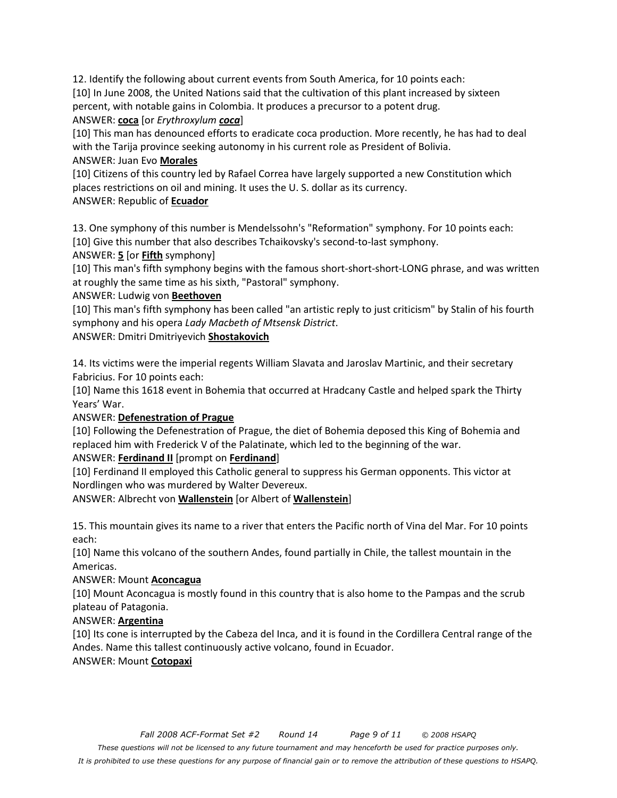12. Identify the following about current events from South America, for 10 points each: [10] In June 2008, the United Nations said that the cultivation of this plant increased by sixteen percent, with notable gains in Colombia. It produces a precursor to a potent drug.

ANSWER: **coca** [or *Erythroxylum coca*]

[10] This man has denounced efforts to eradicate coca production. More recently, he has had to deal with the Tarija province seeking autonomy in his current role as President of Bolivia.

# ANSWER: Juan Evo **Morales**

[10] Citizens of this country led by Rafael Correa have largely supported a new Constitution which places restrictions on oil and mining. It uses the U. S. dollar as its currency.

ANSWER: Republic of **Ecuador**

13. One symphony of this number is Mendelssohn's "Reformation" symphony. For 10 points each: [10] Give this number that also describes Tchaikovsky's second-to-last symphony.

ANSWER: **5** [or **Fifth** symphony]

[10] This man's fifth symphony begins with the famous short-short-short-LONG phrase, and was written at roughly the same time as his sixth, "Pastoral" symphony.

# ANSWER: Ludwig von **Beethoven**

[10] This man's fifth symphony has been called "an artistic reply to just criticism" by Stalin of his fourth symphony and his opera *Lady Macbeth of Mtsensk District*.

ANSWER: Dmitri Dmitriyevich **Shostakovich**

14. Its victims were the imperial regents William Slavata and Jaroslav Martinic, and their secretary Fabricius. For 10 points each:

[10] Name this 1618 event in Bohemia that occurred at Hradcany Castle and helped spark the Thirty Years' War.

# ANSWER: **Defenestration of Prague**

[10] Following the Defenestration of Prague, the diet of Bohemia deposed this King of Bohemia and replaced him with Frederick V of the Palatinate, which led to the beginning of the war.

# ANSWER: **Ferdinand II** [prompt on **Ferdinand**]

[10] Ferdinand II employed this Catholic general to suppress his German opponents. This victor at Nordlingen who was murdered by Walter Devereux.

ANSWER: Albrecht von **Wallenstein** [or Albert of **Wallenstein**]

15. This mountain gives its name to a river that enters the Pacific north of Vina del Mar. For 10 points each:

[10] Name this volcano of the southern Andes, found partially in Chile, the tallest mountain in the Americas.

# ANSWER: Mount **Aconcagua**

[10] Mount Aconcagua is mostly found in this country that is also home to the Pampas and the scrub plateau of Patagonia.

# ANSWER: **Argentina**

[10] Its cone is interrupted by the Cabeza del Inca, and it is found in the Cordillera Central range of the Andes. Name this tallest continuously active volcano, found in Ecuador.

# ANSWER: Mount **Cotopaxi**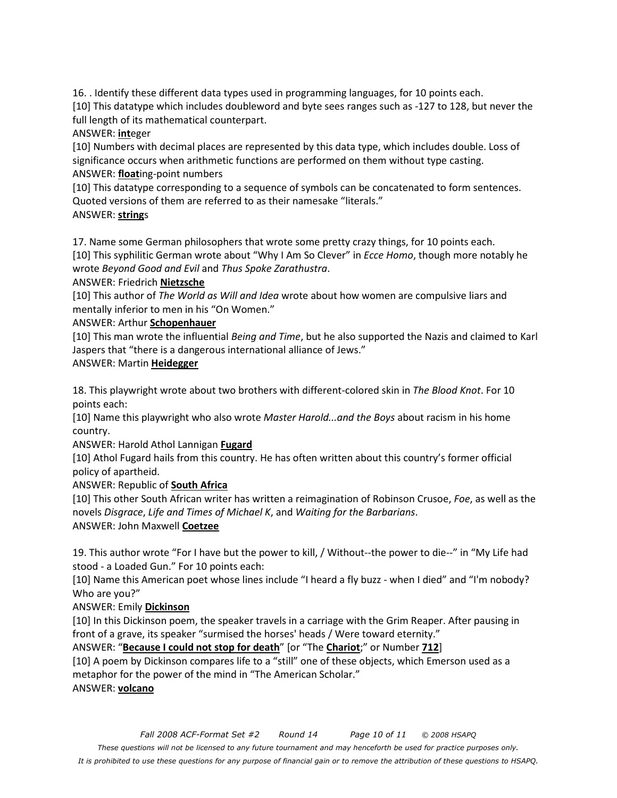16. . Identify these different data types used in programming languages, for 10 points each.

[10] This datatype which includes doubleword and byte sees ranges such as -127 to 128, but never the full length of its mathematical counterpart.

ANSWER: **int**eger

[10] Numbers with decimal places are represented by this data type, which includes double. Loss of significance occurs when arithmetic functions are performed on them without type casting. ANSWER: **float**ing-point numbers

[10] This datatype corresponding to a sequence of symbols can be concatenated to form sentences. Quoted versions of them are referred to as their namesake "literals."

ANSWER: **string**s

17. Name some German philosophers that wrote some pretty crazy things, for 10 points each.

[10] This syphilitic German wrote about "Why I Am So Clever" in *Ecce Homo*, though more notably he wrote *Beyond Good and Evil* and *Thus Spoke Zarathustra*.

ANSWER: Friedrich **Nietzsche**

[10] This author of *The World as Will and Idea* wrote about how women are compulsive liars and mentally inferior to men in his "On Women."

### ANSWER: Arthur **Schopenhauer**

[10] This man wrote the influential *Being and Time*, but he also supported the Nazis and claimed to Karl Jaspers that "there is a dangerous international alliance of Jews."

ANSWER: Martin **Heidegger**

18. This playwright wrote about two brothers with different-colored skin in *The Blood Knot*. For 10 points each:

[10] Name this playwright who also wrote *Master Harold...and the Boys* about racism in his home country.

ANSWER: Harold Athol Lannigan **Fugard**

[10] Athol Fugard hails from this country. He has often written about this country's former official policy of apartheid.

ANSWER: Republic of **South Africa**

[10] This other South African writer has written a reimagination of Robinson Crusoe, *Foe*, as well as the novels *Disgrace*, *Life and Times of Michael K*, and *Waiting for the Barbarians*. ANSWER: John Maxwell **Coetzee**

19. This author wrote "For I have but the power to kill, / Without--the power to die--" in "My Life had stood - a Loaded Gun." For 10 points each:

[10] Name this American poet whose lines include "I heard a fly buzz - when I died" and "I'm nobody? Who are you?"

### ANSWER: Emily **Dickinson**

[10] In this Dickinson poem, the speaker travels in a carriage with the Grim Reaper. After pausing in front of a grave, its speaker "surmised the horses' heads / Were toward eternity."

ANSWER: "**Because I could not stop for death**" [or "The **Chariot**;" or Number **712**]

[10] A poem by Dickinson compares life to a "still" one of these objects, which Emerson used as a metaphor for the power of the mind in "The American Scholar." ANSWER: **volcano**

*It is prohibited to use these questions for any purpose of financial gain or to remove the attribution of these questions to HSAPQ.*